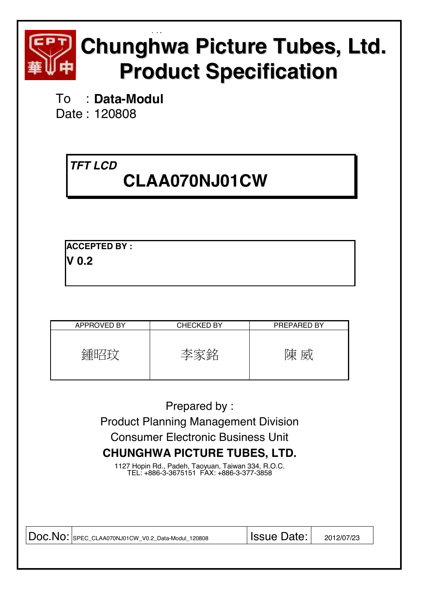

# EQ **Chunghwa Picture Tubes, Ltd. Product Specification**

To : **Data-Modul**  Date : 120808

# *TFT LCD*   **CLAA070NJ01CW**

**ACCEPTED BY : V 0.2** 

| <b>APPROVED BY</b> | <b>CHECKED BY</b> | PREPARED BY |
|--------------------|-------------------|-------------|
|                    |                   | 审<br>夙      |

Prepared by : Product Planning Management Division Consumer Electronic Business Unit **CHUNGHWA PICTURE TUBES, LTD.** 

1127 Hopin Rd., Padeh, Taoyuan, Taiwan 334, R.O.C. TEL: +886-3-3675151 FAX: +886-3-377-3858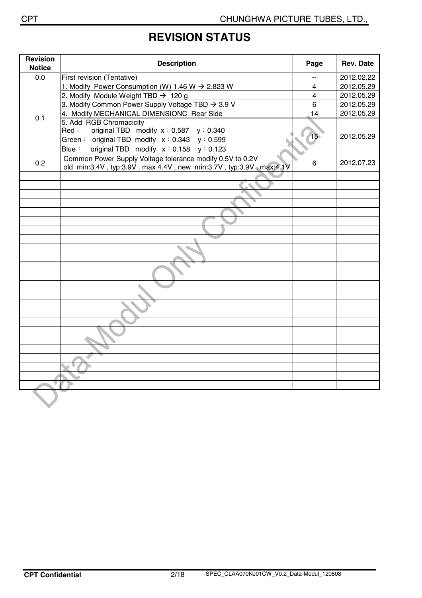## **REVISION STATUS**

| <b>Revision</b><br><b>Notice</b> | <b>Description</b>                                                                                                                   | Page           | <b>Rev. Date</b> |
|----------------------------------|--------------------------------------------------------------------------------------------------------------------------------------|----------------|------------------|
| 0.0                              | First revision (Tentative)                                                                                                           |                | 2012.02.22       |
|                                  | 1. Modify Power Consumption (W) 1.46 W $\rightarrow$ 2.823 W                                                                         | 4              | 2012.05.29       |
|                                  | 2. Modify Module Weight TBD $\rightarrow$ 120 g                                                                                      | $\overline{4}$ | 2012.05.29       |
|                                  | 3. Modify Common Power Supply Voltage TBD → 3.9 V                                                                                    | 6              | 2012.05.29       |
| 0.1                              | 4. Modify MECHANICAL DIMENSIONC Rear Side                                                                                            | 14             | 2012.05.29       |
|                                  | 5. Add RGB Chromacicity<br>original TBD modify $x : 0.587$ $y : 0.340$<br>Red:<br>Green: original TBD modify $x : 0.343$ $y : 0.599$ | 15             | 2012.05.29       |
|                                  | Blue: original TBD modify $x : 0.158$ $y : 0.123$                                                                                    |                |                  |
| 0.2                              | Common Power Supply Voltage tolerance modify 0.5V to 0.2V<br>old min:3.4V, typ:3.9V, max 4.4V, new min:3.7V, typ:3.9V, max:4.1V      | 6              | 2012.07.23       |
|                                  |                                                                                                                                      |                |                  |
|                                  |                                                                                                                                      |                |                  |
|                                  |                                                                                                                                      |                |                  |
|                                  |                                                                                                                                      |                |                  |
|                                  |                                                                                                                                      |                |                  |
|                                  |                                                                                                                                      |                |                  |
|                                  |                                                                                                                                      |                |                  |
|                                  |                                                                                                                                      |                |                  |
|                                  |                                                                                                                                      |                |                  |
|                                  |                                                                                                                                      |                |                  |
|                                  |                                                                                                                                      |                |                  |
|                                  |                                                                                                                                      |                |                  |
|                                  |                                                                                                                                      |                |                  |
|                                  |                                                                                                                                      |                |                  |
|                                  |                                                                                                                                      |                |                  |
|                                  |                                                                                                                                      |                |                  |
|                                  |                                                                                                                                      |                |                  |
|                                  |                                                                                                                                      |                |                  |
|                                  |                                                                                                                                      |                |                  |
|                                  |                                                                                                                                      |                |                  |
|                                  |                                                                                                                                      |                |                  |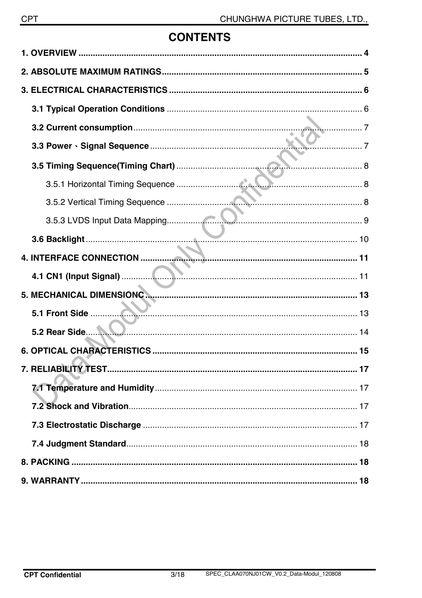## **CONTENTS**

| 5.2 Rear Side |  |
|---------------|--|
|               |  |
|               |  |
|               |  |
|               |  |
|               |  |
|               |  |
|               |  |
|               |  |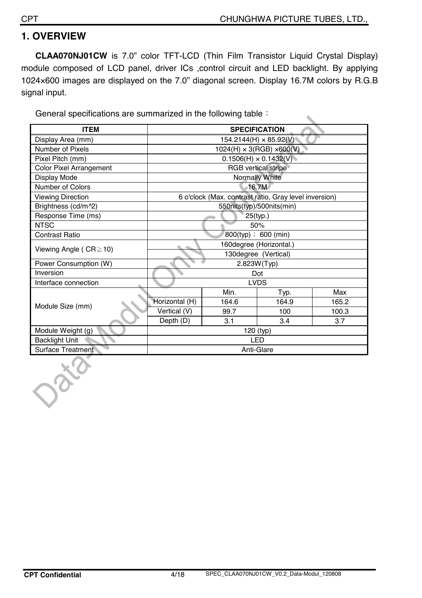## **1. OVERVIEW**

**CLAA070NJ01CW** is 7.0" color TFT-LCD (Thin Film Transistor Liquid Crystal Display) module composed of LCD panel, driver ICs ,control circuit and LED backlight. By applying 1024×600 images are displayed on the 7.0" diagonal screen. Display 16.7M colors by R.G.B signal input.

General specifications are summarized in the following table  $\colon$ 

| <b>ITEM</b>                    | <b>SPECIFICATION</b>                  |                                                       |                              |       |  |
|--------------------------------|---------------------------------------|-------------------------------------------------------|------------------------------|-------|--|
| Display Area (mm)              | $154.2144(H) \times 85.92(V)$         |                                                       |                              |       |  |
| Number of Pixels               | $1024(H) \times 3(RGB) \times 600(V)$ |                                                       |                              |       |  |
| Pixel Pitch (mm)               |                                       |                                                       | $0.1506(H) \times 0.1432(V)$ |       |  |
| <b>Color Pixel Arrangement</b> |                                       |                                                       | <b>RGB</b> vertical stripe   |       |  |
| Display Mode                   |                                       |                                                       | Normally White               |       |  |
| Number of Colors               |                                       |                                                       | 16.7M                        |       |  |
| <b>Viewing Direction</b>       |                                       | 6 o'clock (Max. contrast ratio, Gray level inversion) |                              |       |  |
| Brightness (cd/m^2)            |                                       |                                                       | 550nits(typ)/500nits(min)    |       |  |
| Response Time (ms)             | 25(typ.)                              |                                                       |                              |       |  |
| <b>NTSC</b>                    | 50%                                   |                                                       |                              |       |  |
| <b>Contrast Ratio</b>          | $800$ (typ) ; 600 (min)               |                                                       |                              |       |  |
| Viewing Angle ( $CR \ge 10$ )  | 160degree (Horizontal.)               |                                                       |                              |       |  |
|                                | 130degree (Vertical)                  |                                                       |                              |       |  |
| Power Consumption (W)          |                                       |                                                       | 2.823W(Typ)                  |       |  |
| Inversion                      |                                       |                                                       | Dot                          |       |  |
| Interface connection           |                                       |                                                       | <b>LVDS</b>                  |       |  |
|                                |                                       | Min.                                                  | Typ.                         | Max   |  |
| Module Size (mm)               | Horizontal (H)                        | 164.6                                                 | 164.9                        | 165.2 |  |
|                                | Vertical (V)                          | 99.7                                                  | 100                          | 100.3 |  |
|                                | Depth (D)                             | 3.1                                                   | 3.4                          | 3.7   |  |
| Module Weight (g)              | 120 (typ)                             |                                                       |                              |       |  |
| <b>Backlight Unit</b>          | <b>LED</b>                            |                                                       |                              |       |  |
| <b>Surface Treatment</b>       | Anti-Glare                            |                                                       |                              |       |  |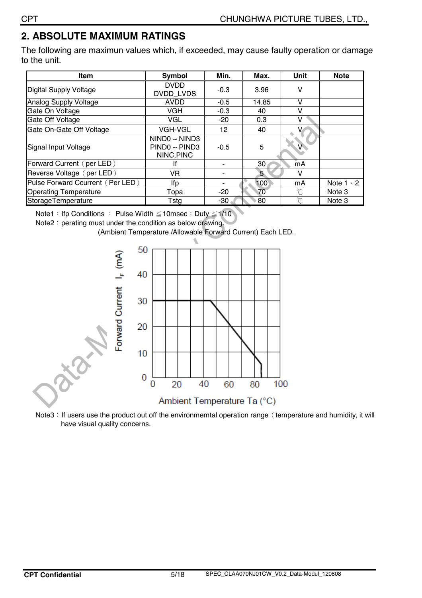## **2. ABSOLUTE MAXIMUM RATINGS**

The following are maximun values which, if exceeded, may cause faulty operation or damage to the unit.

| <b>Item</b>                      | Symbol                                            | Min.   | Max.             | <b>Unit</b> | <b>Note</b>      |
|----------------------------------|---------------------------------------------------|--------|------------------|-------------|------------------|
| <b>Digital Supply Voltage</b>    | <b>DVDD</b><br><b>DVDD LVDS</b>                   | $-0.3$ | 3.96             | v           |                  |
| <b>Analog Supply Voltage</b>     | <b>AVDD</b>                                       | $-0.5$ | 14.85            | v           |                  |
| Gate On Voltage                  | <b>VGH</b>                                        | $-0.3$ | 40               | v           |                  |
| Gate Off Voltage                 | VGL                                               | $-20$  | 0.3              | v           |                  |
| Gate On-Gate Off Voltage         | VGH-VGL                                           | 12     | 40               |             |                  |
| Signal Input Voltage             | NINDO ~ NIND3<br>$PIND0 \sim PIND3$<br>NINC, PINC | $-0.5$ | 5                |             |                  |
| Forward Current (per LED)        | If                                                |        | 30               | mA          |                  |
| Reverse Voltage (per LED)        | VR                                                |        | 5                | V           |                  |
| Pulse Forward Ccurrent (Per LED) | lfp                                               |        | 100 <sub>1</sub> | mA          | Note $1 \cdot 2$ |
| <b>Operating Temperature</b>     | Topa                                              | $-20$  | 70               | $^{\circ}C$ | Note 3           |
| StorageTemperature               | Tstg                                              | -30    | 80               | $^{\circ}C$ | Note 3           |

Note1: Ifp Conditions : Pulse Width  $\leq$  10msec ; Duty  $\leq$  1/10

Note2: perating must under the condition as below drawing.

(Ambient Temperature /Allowable Forward Current) Each LED .



Note3: If users use the product out off the environmemtal operation range (temperature and humidity, it will have visual quality concerns.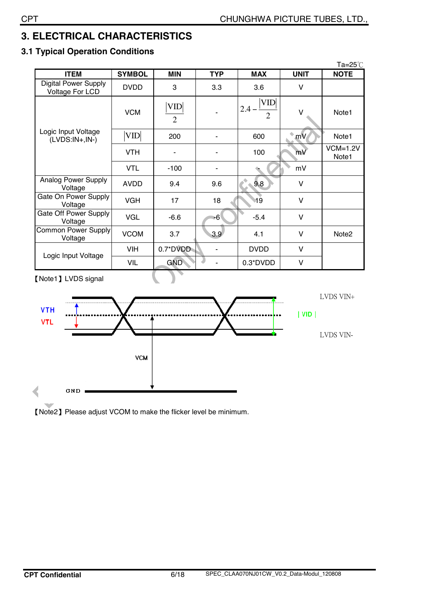## **3. ELECTRICAL CHARACTERISTICS**

### **3.1 Typical Operation Conditions**

| <b>NOTE</b>         |
|---------------------|
|                     |
|                     |
| Note1               |
| Note1               |
| $VCM=1.2V$<br>Note1 |
|                     |
|                     |
|                     |
|                     |
| Note <sub>2</sub>   |
|                     |
|                     |
|                     |

˰Note1˱LVDS signal



).

˰Note2˱Please adjust VCOM to make the flicker level be minimum.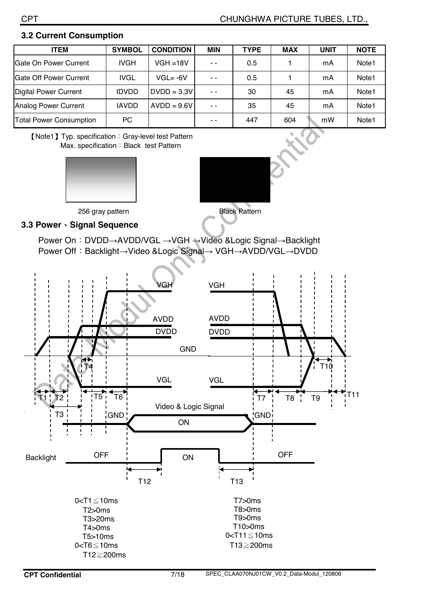#### **3.2 Current Consumption**

| <b>ITEM</b>                    | <b>SYMBOL</b> | <b>CONDITION</b> | <b>MIN</b>    | <b>TYPE</b> | <b>MAX</b> | <b>UNIT</b> | <b>NOTE</b>       |
|--------------------------------|---------------|------------------|---------------|-------------|------------|-------------|-------------------|
| Gate On Power Current          | <b>IVGH</b>   | $VGH = 18V$      | $\sim$ $\sim$ | 0.5         |            | mA          | Note <sub>1</sub> |
| <b>Gate Off Power Current</b>  | <b>IVGL</b>   | $VGL = -6V$      | $\sim$ $\sim$ | 0.5         |            | mA          | Note <sub>1</sub> |
| <b>Digital Power Current</b>   | <b>IDVDD</b>  | $DVDD = 3.3V$    | $ -$          | 30          | 45         | mA          | Note <sub>1</sub> |
| <b>Analog Power Current</b>    | <b>IAVDD</b>  | $AVDD = 9.6V$    | $ -$          | 35          | 45         | mA          | Note <sub>1</sub> |
| <b>Total Power Consumption</b> | <b>PC</b>     |                  | - -           | 447         | 604        | mW          | Note <sub>1</sub> |

**[Note1]** Typ. specification: Gray-level test Pattern Max. specification: Black test Pattern





#### **3.3 Power**ˣ**Signal Sequence**

Power On: DVDD→AVDD/VGL →VGH →Video &Logic Signal→Backlight Power Off: Backlight→Video &Logic Signal→ VGH→AVDD/VGL→DVDD

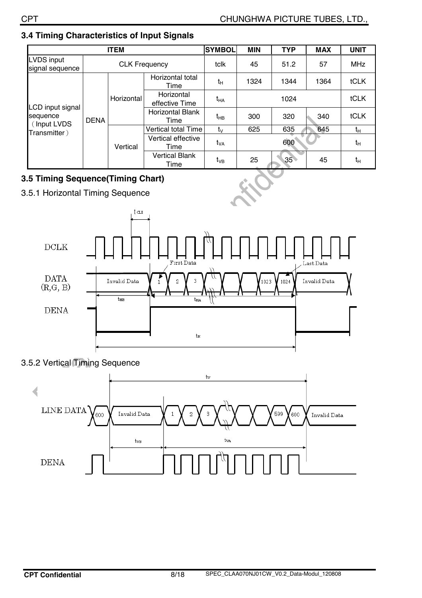|                                             | <b>ITEM</b>          |                            |                                 |                 | <b>MIN</b> | <b>TYP</b> | <b>MAX</b> | <b>UNIT</b> |
|---------------------------------------------|----------------------|----------------------------|---------------------------------|-----------------|------------|------------|------------|-------------|
| LVDS input<br>signal sequence               | <b>CLK Frequency</b> |                            | tclk                            | 45              | 51.2       | 57         | <b>MHz</b> |             |
|                                             |                      |                            | Horizontal total<br>Time        | $t_H$           | 1324       | 1344       | 1364       | tCLK        |
| LCD input signal<br>sequence<br>(Input LVDS |                      | Horizontal                 | Horizontal<br>effective Time    | t <sub>на</sub> | 1024       |            |            | tCLK        |
|                                             | <b>DENA</b>          |                            | <b>Horizontal Blank</b><br>Time | t <sub>нв</sub> | 300        | 320        | 340        | tCLK        |
| Transmitter)                                |                      |                            | Vertical total Time             | $t_{\rm V}$     | 625        | 635        | 645        | tн          |
|                                             | Vertical             | Vertical effective<br>Time | t <sub>VA</sub>                 |                 | 600        |            | $t_H$      |             |
|                                             |                      |                            | <b>Vertical Blank</b><br>Time   | $t_{VB}$        | 25         | 35         | 45         | tн          |

### **3.4 Timing Characteristics of Input Signals**

## **3.5 Timing Sequence(Timing Chart)**

3.5.1 Horizontal Timing Sequence





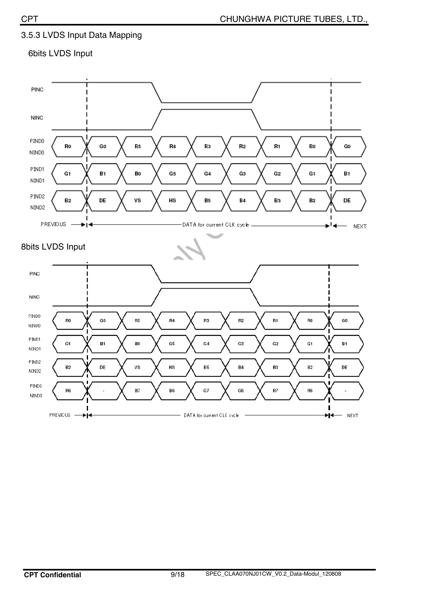### 3.5.3 LVDS Input Data Mapping

#### 6bits LVDS Input

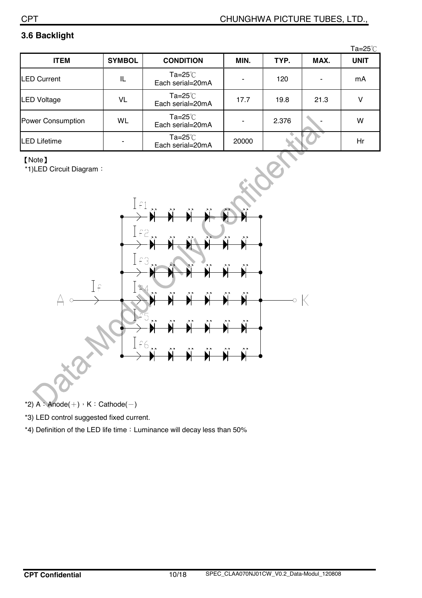### **3.6 Backlight**

|                   |               |                                              |       |       |      | Ta=25 $^\circ$ C |
|-------------------|---------------|----------------------------------------------|-------|-------|------|------------------|
| <b>ITEM</b>       | <b>SYMBOL</b> | <b>CONDITION</b>                             | MIN.  | TYP.  | MAX. | <b>UNIT</b>      |
| LED Current       | IL            | Ta= $25^{\circ}$ C<br>Each serial=20mA       |       | 120   |      | mA               |
| LED Voltage       | VL            | $Ta = 25^\circ \text{C}$<br>Each serial=20mA | 17.7  | 19.8  | 21.3 | ٧                |
| Power Consumption | <b>WL</b>     | $Ta = 25^\circ \text{C}$<br>Each serial=20mA |       | 2.376 |      | w                |
| LED Lifetime      |               | Ta=25 $°C$<br>Each serial=20mA               | 20000 |       |      | Hr               |

#### ˰Note˱

 $*$ 1)LED Circuit Diagram :



- \*2)  $A :$  Anode( $+)$ ,  $K :$  Cathode( $-)$
- \*3) LED control suggested fixed current.
- \*4) Definition of the LED life time : Luminance will decay less than 50%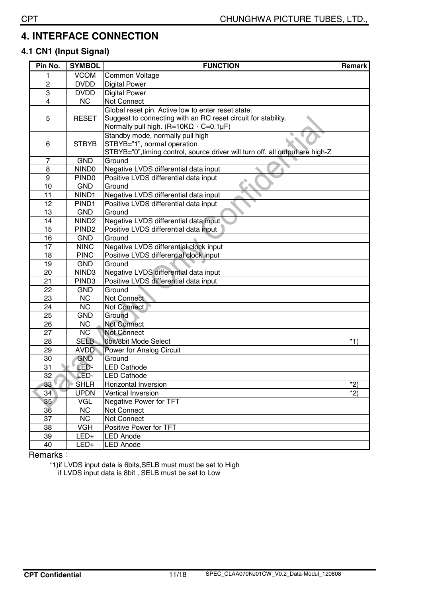## **4. INTERFACE CONNECTION**

### **4.1 CN1 (Input Signal)**

| Pin No.         | <b>SYMBOL</b>          | <b>FUNCTION</b><br>Remark                                                     |       |  |  |
|-----------------|------------------------|-------------------------------------------------------------------------------|-------|--|--|
| 1               | <b>VCOM</b>            | Common Voltage                                                                |       |  |  |
| $\overline{c}$  | <b>DVDD</b>            | <b>Digital Power</b>                                                          |       |  |  |
| 3               | <b>DVDD</b>            | <b>Digital Power</b>                                                          |       |  |  |
| $\overline{4}$  | <b>NC</b>              | <b>Not Connect</b>                                                            |       |  |  |
|                 |                        | Global reset pin. Active low to enter reset state.                            |       |  |  |
| 5               | <b>RESET</b>           | Suggest to connecting with an RC reset circuit for stability.                 |       |  |  |
|                 |                        | Normally pull high. (R=10K $\Omega$ , C=0.1µF)                                |       |  |  |
|                 |                        | Standby mode, normally pull high                                              |       |  |  |
| 6               | <b>STBYB</b>           | STBYB="1", normal operation                                                   |       |  |  |
|                 |                        | STBYB="0", timing control, source driver will turn off, all output are high-Z |       |  |  |
| $\overline{7}$  | <b>GND</b>             | Ground                                                                        |       |  |  |
| 8               | NIND <sub>0</sub>      | Negative LVDS differential data input                                         |       |  |  |
| 9               | PIND <sub>0</sub>      | Positive LVDS differential data input                                         |       |  |  |
| 10              | <b>GND</b>             | Ground                                                                        |       |  |  |
| 11              | NIND1                  | Negative LVDS differential data input                                         |       |  |  |
| 12              | PIND <sub>1</sub>      | Positive LVDS differential data input                                         |       |  |  |
| 13              | <b>GND</b>             | Ground                                                                        |       |  |  |
| 14              | NIND <sub>2</sub>      | Negative LVDS differential data input                                         |       |  |  |
| 15              | PIND <sub>2</sub>      | Positive LVDS differential data input                                         |       |  |  |
| 16              | <b>GND</b>             | Ground                                                                        |       |  |  |
| 17              | <b>NINC</b>            | Negative LVDS differential clock input                                        |       |  |  |
| 18              | <b>PINC</b>            | Positive LVDS differential clock input                                        |       |  |  |
| 19              | <b>GND</b>             | Ground                                                                        |       |  |  |
| 20              | NIND3                  | Negative LVDS differential data input                                         |       |  |  |
| 21              | PIND <sub>3</sub>      | Positive LVDS differential data input                                         |       |  |  |
| 22              | <b>GND</b>             | Ground                                                                        |       |  |  |
| 23              | <b>NC</b>              | Not Connect                                                                   |       |  |  |
| 24              | $\overline{\text{NC}}$ | Not Connect                                                                   |       |  |  |
| 25              | <b>GND</b>             | Ground                                                                        |       |  |  |
| 26              | <b>NC</b>              | <b>Not Connect</b>                                                            |       |  |  |
| 27              | $\overline{\text{NC}}$ | <b>Not Connect</b>                                                            |       |  |  |
| 28              | <b>SELB</b>            | 6bit/8bit Mode Select                                                         | $*1)$ |  |  |
| 29              | <b>AVDD</b>            | Power for Analog Circuit                                                      |       |  |  |
| $\overline{30}$ | <b>GND</b>             | Ground                                                                        |       |  |  |
| 31              | LED-                   | <b>LED Cathode</b>                                                            |       |  |  |
| $\overline{32}$ | LED-                   | <b>LED Cathode</b>                                                            |       |  |  |
| 33              | <b>SHLR</b>            | <b>Horizontal Inversion</b>                                                   | $*2)$ |  |  |
| 34              | <b>UPDN</b>            | Vertical Inversion                                                            | $*2)$ |  |  |
| 35 <sub>2</sub> | VGL                    | Negative Power for TFT                                                        |       |  |  |
| 36              | <b>NC</b>              | Not Connect                                                                   |       |  |  |
| 37              | <b>NC</b>              | Not Connect                                                                   |       |  |  |
| 38              | <b>VGH</b>             | Positive Power for TFT                                                        |       |  |  |
| 39              | LED+                   | <b>LED Anode</b>                                                              |       |  |  |
| 40              | LED+                   | <b>LED Anode</b>                                                              |       |  |  |

Remarks :

\*1)if LVDS input data is 6bits,SELB must must be set to High if LVDS input data is 8bit , SELB must be set to Low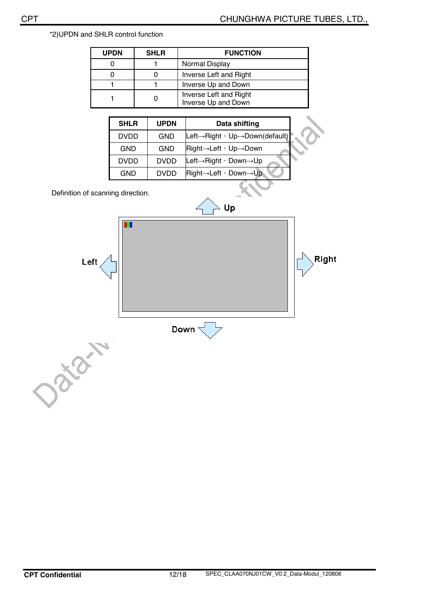| <b>UPDN</b> | <b>SHLR</b><br><b>FUNCTION</b> |                                               |  |
|-------------|--------------------------------|-----------------------------------------------|--|
|             |                                | Normal Display                                |  |
|             |                                | Inverse Left and Right                        |  |
|             |                                | Inverse Up and Down                           |  |
|             |                                | Inverse Left and Right<br>Inverse Up and Down |  |

| <b>SHLR</b> | <b>UPDN</b> | Data shifting                                                   |
|-------------|-------------|-----------------------------------------------------------------|
| <b>DVDD</b> | <b>GND</b>  | Left $\rightarrow$ Right $\cdot$ Up $\rightarrow$ Down(default) |
| <b>GND</b>  | <b>GND</b>  | Right→Left, Up→Down                                             |
| <b>DVDD</b> | <b>DVDD</b> | Left $\rightarrow$ Right , Down $\rightarrow$ Up                |
| <b>GND</b>  | <b>DVDD</b> | $Right \rightarrow Left \rightarrow Down \rightarrow Up$        |

Definition of scanning direction.

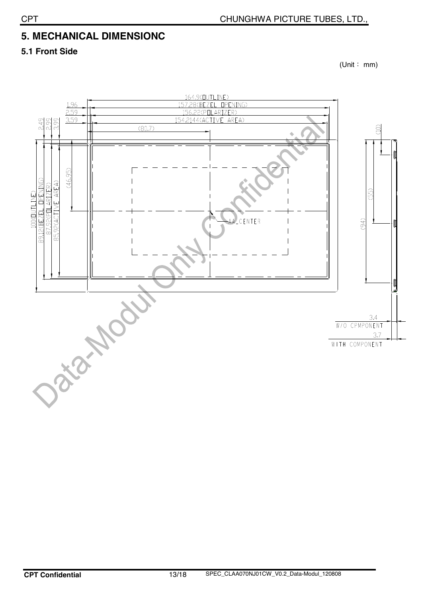## **5. MECHANICAL DIMENSIONC**

**5.1 Front Side** 

 $(Unit : mm)$ 

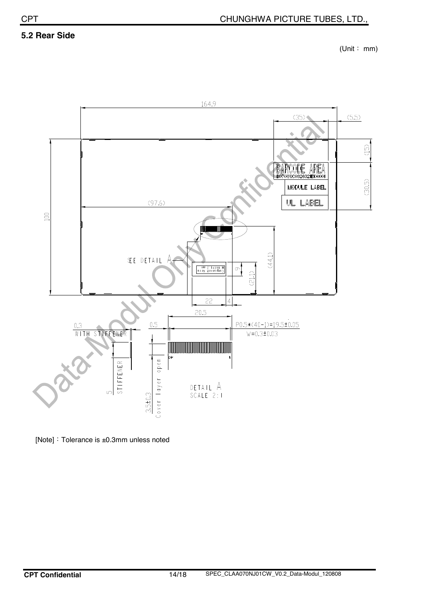#### **5.2 Rear Side**

 $(Unit : mm)$ 



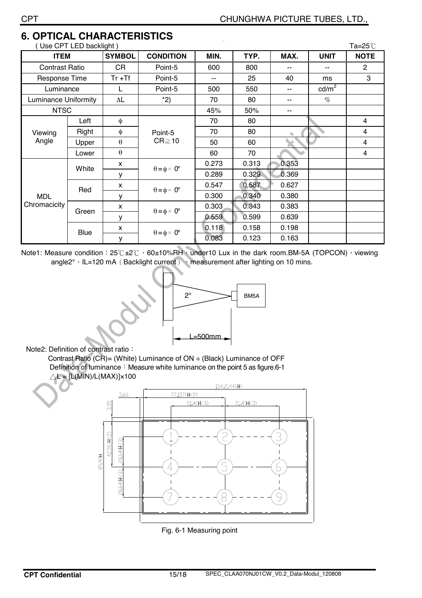| Use CPT LED backlight)      |             |                       |                             |       |       | Ta= $25^{\circ}$ C |                 |                |
|-----------------------------|-------------|-----------------------|-----------------------------|-------|-------|--------------------|-----------------|----------------|
| <b>ITEM</b>                 |             | <b>SYMBOL</b>         | <b>CONDITION</b>            | MIN.  | TYP.  | MAX.               | <b>UNIT</b>     | <b>NOTE</b>    |
| <b>Contrast Ratio</b>       |             | CR                    | Point-5                     | 600   | 800   | --                 | --              | $\overline{2}$ |
| Response Time               |             | $Tr + Tf$             | Point-5                     |       | 25    | 40                 | ms              | 3              |
| Luminance                   |             | L                     | Point-5                     |       | 550   | --                 | $\text{cd/m}^2$ |                |
| <b>Luminance Uniformity</b> |             | $\Delta \mathsf{L}$   | $*2)$                       | 70    | 80    | --                 | $\%$            |                |
| <b>NTSC</b>                 |             |                       |                             | 45%   | 50%   | --                 |                 |                |
| Viewing<br>Angle            | Left        | $\phi$                | Point-5<br>$CR \ge 10$      | 70    | 80    |                    |                 | 4              |
|                             | Right       | $\phi$                |                             | 70    | 80    |                    |                 | 4              |
|                             | Upper       | $\theta$              |                             | 50    | 60    |                    |                 | 4              |
|                             | Lower       | $\boldsymbol{\theta}$ |                             | 60    | 70    |                    |                 | 4              |
|                             | White       | X                     | $\theta = \phi = 0^{\circ}$ | 0.273 | 0.313 | 0.353              |                 |                |
|                             |             | У                     |                             | 0.289 | 0.329 | 0.369              |                 |                |
| <b>MDL</b><br>Chromacicity  | Red         | $\mathsf{x}$          | $\theta = \phi = 0^{\circ}$ | 0.547 | 0.587 | 0.627              |                 |                |
|                             |             | У                     |                             | 0.300 | 0.340 | 0.380              |                 |                |
|                             | Green       | $\mathsf{x}$          | $\theta = \phi = 0^{\circ}$ | 0.303 | 0.343 | 0.383              |                 |                |
|                             |             | у                     |                             | 0.559 | 0.599 | 0.639              |                 |                |
|                             | <b>Blue</b> | X                     | $\theta = \phi = 0^{\circ}$ | 0.118 | 0.158 | 0.198              |                 |                |
|                             |             | У                     |                             | 0.083 | 0.123 | 0.163              |                 |                |

## **6. OPTICAL CHARACTERISTICS**

Note1: Measure condition : 25°C±2°C > 60±10%RH vunder10 Lux in the dark room.BM-5A (TOPCON) > viewing angle2°, IL=120 mA (Backlight current) , measurement after lighting on 10 mins.



Note2: Definition of contrast ratio :

Contrast Ratio (CR)= (White) Luminance of  $ON \div$  (Black) Luminance of OFF Definition of luminance : Measure white luminance on the point 5 as figure.6-1  $\triangle L = [L(MIN)/L(MAX)] \times 100$ 



Fig. 6-1 Measuring point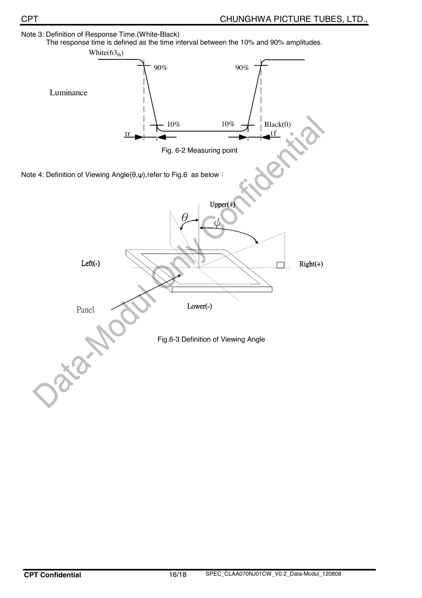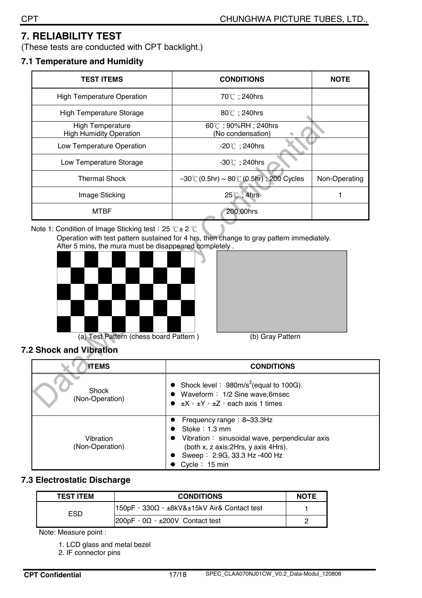## **7. RELIABILITY TEST**

(These tests are conducted with CPT backlight.)

#### **7.1 Temperature and Humidity**

| <b>TEST ITEMS</b>                                         | <b>CONDITIONS</b>                                              | <b>NOTE</b>   |
|-----------------------------------------------------------|----------------------------------------------------------------|---------------|
| <b>High Temperature Operation</b>                         | 70℃; 240hrs                                                    |               |
| <b>High Temperature Storage</b>                           | 80℃; 240hrs                                                    |               |
| <b>High Temperature</b><br><b>High Humidity Operation</b> | $60^{\circ}$ C; 90%RH; 240hrs<br>(No condensation)             |               |
| Low Temperature Operation                                 | $-20^{\circ}$ C; 240hrs                                        |               |
| Low Temperature Storage                                   | $-30^{\circ}$ C ; 240hrs                                       |               |
| <b>Thermal Shock</b>                                      | $-30^{\circ}$ C (0.5hr) ~ 80 $^{\circ}$ C (0.5hr) ; 200 Cycles | Non-Operating |
| Image Sticking                                            | $25^{\circ}$ C; 4hrs                                           |               |
| MTBF                                                      | 200,00hrs                                                      |               |

Note 1: Condition of Image Sticking test : 25  $°C \pm 2$   $°C$ 

Operation with test pattern sustained for 4 hrs, then change to gray pattern immediately. After 5 mins, the mura must be disappeared completely .







#### **7.2 Shock and Vibration**

| <b>ITEMS</b>                 | <b>CONDITIONS</b>                                                                                                                                                                                       |
|------------------------------|---------------------------------------------------------------------------------------------------------------------------------------------------------------------------------------------------------|
| Shock<br>(Non-Operation)     | • Shock level : $980 \text{m/s}^2$ (equal to 100G).<br>• Waveform: 1/2 Sine wave, 6msec<br>$\bullet$ $\pm$ X, $\pm$ Y, $\pm$ Z, each axis 1 times                                                       |
| Vibration<br>(Non-Operation) | Frequency range: $8\text{-}33.3\text{Hz}$<br>Stoke $: 1.3$ mm<br>Vibration: sinusoidal wave, perpendicular axis<br>(both x, z axis: 2Hrs, y axis 4Hrs).<br>Sweep: 2.9G, 33.3 Hz-400 Hz<br>Cycle: 15 min |

#### **7.3 Electrostatic Discharge**

| <b>TEST ITEM</b> | <b>CONDITIONS</b>                                                  | <b>NOTE</b> |
|------------------|--------------------------------------------------------------------|-------------|
| ESD              | $150pF \cdot 330\Omega \cdot \pm 8kV\&\pm 15kV$ Air & Contact test |             |
|                  | $ 200pF \tcdot 0\Omega \tcdot \pm 200V$ Contact test               |             |

Note: Measure point :

- 1. LCD glass and metal bezel
- 2. IF connector pins